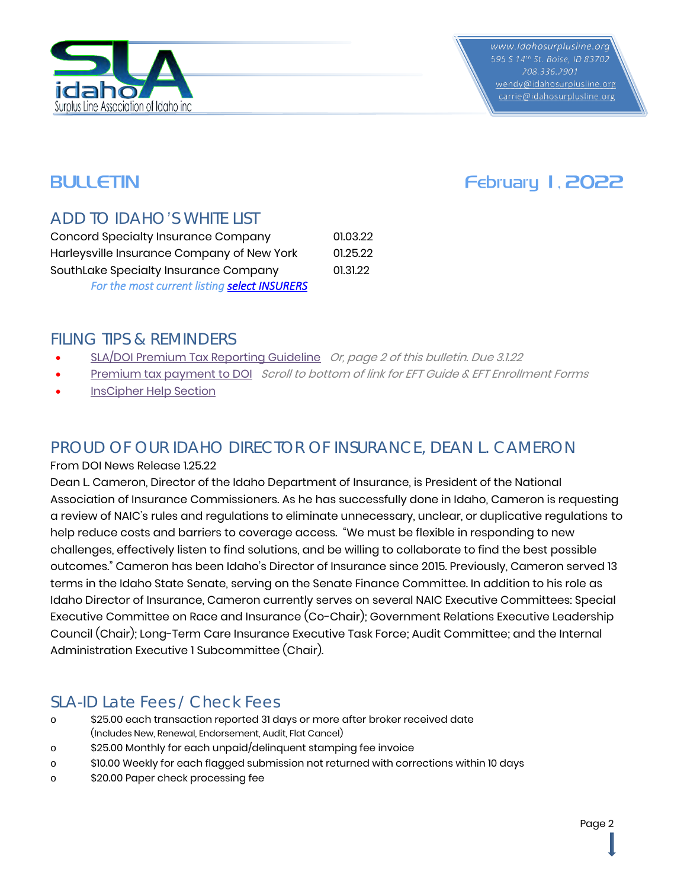

wendy@idahosurplusline.org carrie@idahosurplusline.org

# BULLETIN **EXECUTE EXECUTE SERVICE SERVICE SERVICE SERVICE SERVICE SERVICE SERVICE SERVICE SERVICE SERVICE SERVICE SERVICE SERVICE SERVICE SERVICE SERVICE SERVICE SERVICE SERVICE SERVICE SERVICE SERVICE SERVICE SERVICE SERV**

## *ADD TO IDAHO'S WHITE LIST*

| <b>Concord Specialty Insurance Company</b>   | 01.03.22 |
|----------------------------------------------|----------|
| Harleysville Insurance Company of New York   | 01.25.22 |
| SouthLake Specialty Insurance Company        | 01.31.22 |
| For the most current listing select INSURERS |          |

#### *FILING TIPS & REMINDERS*

- [SLA/DOI Premium Tax Reporting Guideline](https://www.idahosurplusline.org/images/SL%20PREMIUM%20TAX%20GUIDELINE.pdf) Or, page 2 of this bulletin. Due 3.1.22
- [Premium tax payment to DOI](https://doi.idaho.gov/industry/taxes-fees/) Scroll to bottom of link for EFT Guide & EFT Enrollment Forms
- **[InsCipher Help Section](https://support.inscipher.com/knowledge/broker-agent-portal)**

### *PROUD OF OUR IDAHO DIRECTOR OF INSURANCE, DEAN L. CAMERON*

#### From DOI News Release 1.25.22

Dean L. Cameron, Director of the Idaho Department of Insurance, is President of the National Association of Insurance Commissioners. As he has successfully done in Idaho, Cameron is requesting a review of NAIC's rules and regulations to eliminate unnecessary, unclear, or duplicative regulations to help reduce costs and barriers to coverage access. "We must be flexible in responding to new challenges, effectively listen to find solutions, and be willing to collaborate to find the best possible outcomes." Cameron has been Idaho's Director of Insurance since 2015. Previously, Cameron served 13 terms in the Idaho State Senate, serving on the Senate Finance Committee. In addition to his role as Idaho Director of Insurance, Cameron currently serves on several NAIC Executive Committees: Special Executive Committee on Race and Insurance (Co-Chair); Government Relations Executive Leadership Council (Chair); Long-Term Care Insurance Executive Task Force; Audit Committee; and the Internal Administration Executive 1 Subcommittee (Chair).

### *SLA-ID Late Fees / Check Fees*

- o \$25.00 each transaction reported 31 days or more after broker received date (Includes New, Renewal, Endorsement, Audit, Flat Cancel)
- o \$25.00 Monthly for each unpaid/delinquent stamping fee invoice
- o \$10.00 Weekly for each flagged submission not returned with corrections within 10 days
- o \$20.00 Paper check processing fee